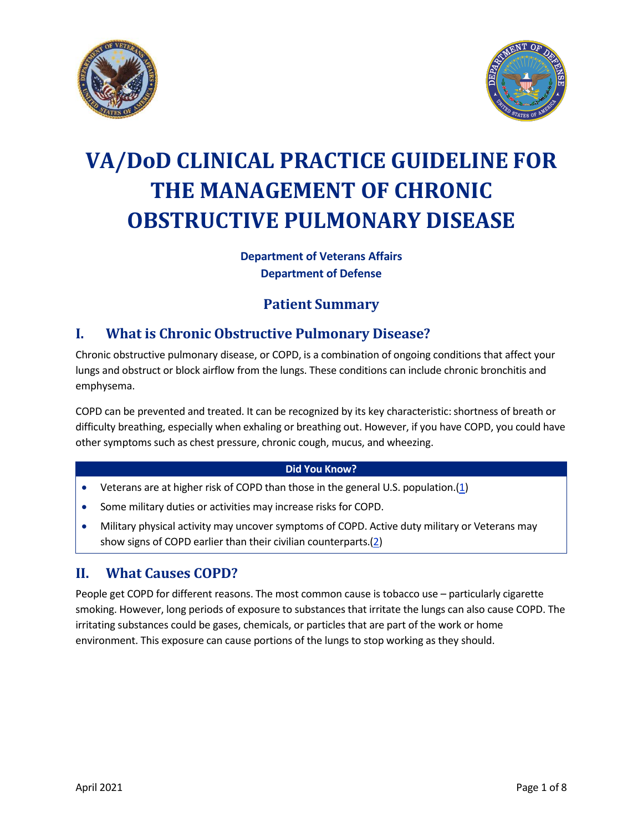



# **VA/DoD CLINICAL PRACTICE GUIDELINE FOR THE MANAGEMENT OF CHRONIC OBSTRUCTIVE PULMONARY DISEASE**

### **Department of Veterans Affairs Department of Defense**

# **Patient Summary**

# **I. What is Chronic Obstructive Pulmonary Disease?**

Chronic obstructive pulmonary disease, or COPD, is a combination of ongoing conditions that affect your lungs and obstruct or block airflow from the lungs. These conditions can include chronic bronchitis and emphysema.

COPD can be prevented and treated. It can be recognized by its key characteristic: shortness of breath or difficulty breathing, especially when exhaling or breathing out. However, if you have COPD, you could have other symptoms such as chest pressure, chronic cough, mucus, and wheezing.

### **Did You Know?**

- · Veterans are at higher risk of COPD than those in the general U.S. population.[\(1\)](#page-7-0)
- · Some military duties or activities may increase risks for COPD.
- · Military physical activity may uncover symptoms of COPD. Active duty military or Veterans may show signs of COPD earlier than their civilian counterparts.([2](#page-7-1))

## **II. What Causes COPD?**

People get COPD for different reasons. The most common cause is tobacco use – particularly cigarette smoking. However, long periods of exposure to substances that irritate the lungs can also cause COPD. The irritating substances could be gases, chemicals, or particles that are part of the work or home environment. This exposure can cause portions of the lungs to stop working as they should.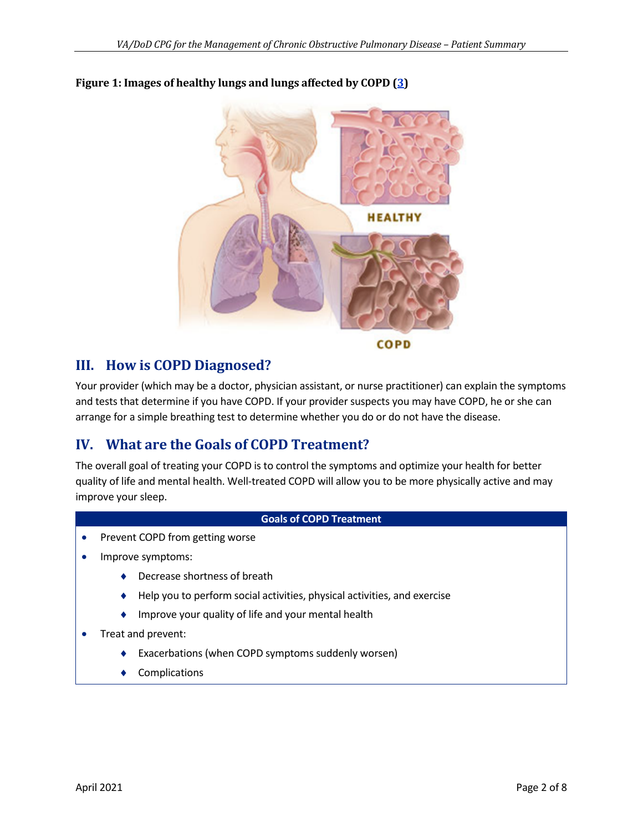

### **Figure 1: Images of healthy lungs and lungs affected by COPD [\(3\)](#page-7-2)**

**COPD** 

# **III. How is COPD Diagnosed?**

Your provider (which may be a doctor, physician assistant, or nurse practitioner) can explain the symptoms and tests that determine if you have COPD. If your provider suspects you may have COPD, he or she can arrange for a simple breathing test to determine whether you do or do not have the disease.

## **IV. What are the Goals of COPD Treatment?**

The overall goal of treating your COPD is to control the symptoms and optimize your health for better quality of life and mental health. Well-treated COPD will allow you to be more physically active and may improve your sleep.

#### **Goals of COPD Treatment**

- · Prevent COPD from getting worse
- · Improve symptoms:
	- $\triangle$  Decrease shortness of breath
	- Help you to perform social activities, physical activities, and exercise
	- $\bullet$  Improve your quality of life and your mental health
- · Treat and prevent:
	- Exacerbations (when COPD symptoms suddenly worsen)
	- **Complications**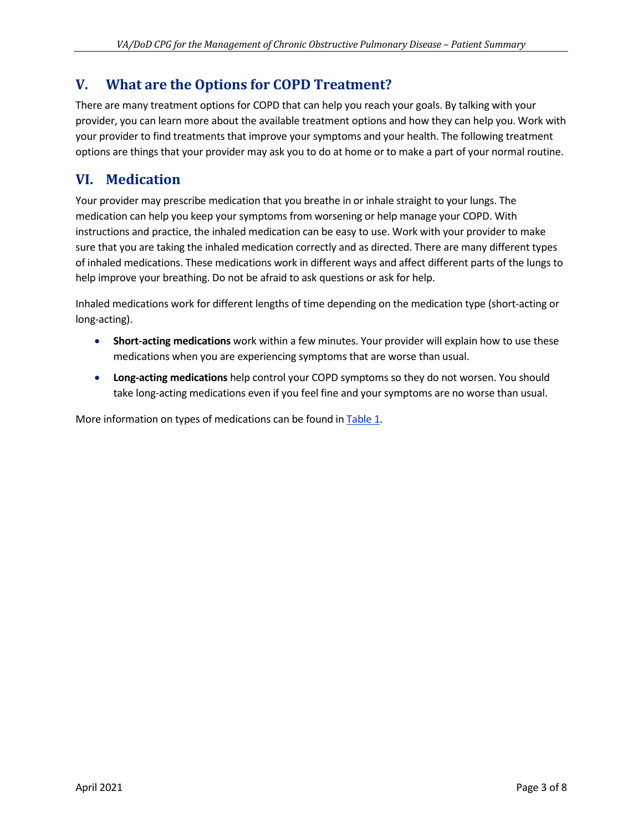## **V. What are the Options for COPD Treatment?**

There are many treatment options for COPD that can help you reach your goals. By talking with your provider, you can learn more about the available treatment options and how they can help you. Work with your provider to find treatments that improve your symptoms and your health. The following treatment options are things that your provider may ask you to do at home or to make a part of your normal routine.

# **VI. Medication**

Your provider may prescribe medication that you breathe in or inhale straight to your lungs. The medication can help you keep your symptoms from worsening or help manage your COPD. With instructions and practice, the inhaled medication can be easy to use. Work with your provider to make sure that you are taking the inhaled medication correctly and as directed. There are many different types of inhaled medications. These medications work in different ways and affect different parts of the lungs to help improve your breathing. Do not be afraid to ask questions or ask for help.

Inhaled medications work for different lengths of time depending on the medication type (short-acting or long-acting).

- · **Short-acting medications** work within a few minutes. Your provider will explain how to use these medications when you are experiencing symptoms that are worse than usual.
- · **Long-acting medications** help control your COPD symptoms so they do not worsen. You should take long-acting medications even if you feel fine and your symptoms are no worse than usual.

More information on types of medications can be found in [Table 1.](#page-3-0)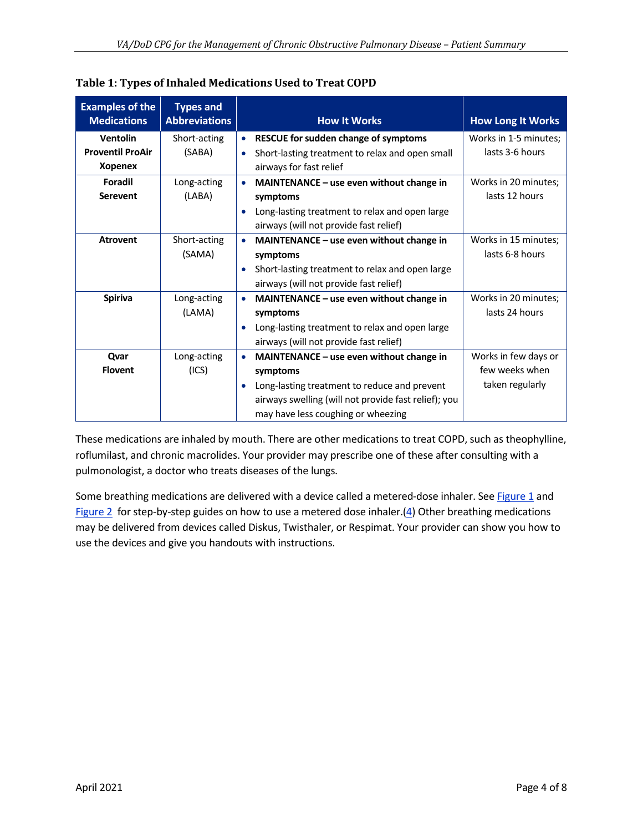| <b>Examples of the</b><br><b>Medications</b> | <b>Types and</b><br><b>Abbreviations</b> | <b>How It Works</b>                                          | <b>How Long It Works</b> |
|----------------------------------------------|------------------------------------------|--------------------------------------------------------------|--------------------------|
| <b>Ventolin</b>                              | Short-acting                             | RESCUE for sudden change of symptoms                         | Works in 1-5 minutes;    |
| <b>Proventil ProAir</b>                      | (SABA)                                   | Short-lasting treatment to relax and open small<br>$\bullet$ | lasts 3-6 hours          |
| <b>Xopenex</b>                               |                                          | airways for fast relief                                      |                          |
| Foradil                                      | Long-acting                              | MAINTENANCE - use even without change in                     | Works in 20 minutes;     |
| <b>Serevent</b>                              | (LABA)                                   | symptoms                                                     | lasts 12 hours           |
|                                              |                                          | Long-lasting treatment to relax and open large<br>$\bullet$  |                          |
|                                              |                                          | airways (will not provide fast relief)                       |                          |
| <b>Atrovent</b>                              | Short-acting                             | MAINTENANCE - use even without change in                     | Works in 15 minutes;     |
|                                              | (SAMA)                                   | symptoms                                                     | lasts 6-8 hours          |
|                                              |                                          | Short-lasting treatment to relax and open large<br>$\bullet$ |                          |
|                                              |                                          | airways (will not provide fast relief)                       |                          |
| <b>Spiriva</b>                               | Long-acting                              | MAINTENANCE - use even without change in                     | Works in 20 minutes;     |
|                                              | (LAMA)                                   | symptoms                                                     | lasts 24 hours           |
|                                              |                                          | Long-lasting treatment to relax and open large<br>$\bullet$  |                          |
|                                              |                                          | airways (will not provide fast relief)                       |                          |
| Qvar                                         | Long-acting                              | MAINTENANCE - use even without change in                     | Works in few days or     |
| <b>Flovent</b>                               | (ICS)                                    | symptoms                                                     | few weeks when           |
|                                              |                                          | Long-lasting treatment to reduce and prevent<br>$\bullet$    | taken regularly          |
|                                              |                                          | airways swelling (will not provide fast relief); you         |                          |
|                                              |                                          | may have less coughing or wheezing                           |                          |

<span id="page-3-0"></span>

| Table 1: Types of Inhaled Medications Used to Treat COPD |  |  |
|----------------------------------------------------------|--|--|
|                                                          |  |  |

These medications are inhaled by mouth. There are other medications to treat COPD, such as theophylline, roflumilast, and chronic macrolides. Your provider may prescribe one of these after consulting with a pulmonologist, a doctor who treats diseases of the lungs.

Some breathing medications are delivered with a device called a metered-dose inhaler. See [Figure 1](#page-4-0) and [Figure 2](#page-4-1) for step-by-step guides on how to use a metered dose inhaler. $(4)$  $(4)$  Other breathing medications may be delivered from devices called Diskus, Twisthaler, or Respimat. Your provider can show you how to use the devices and give you handouts with instructions.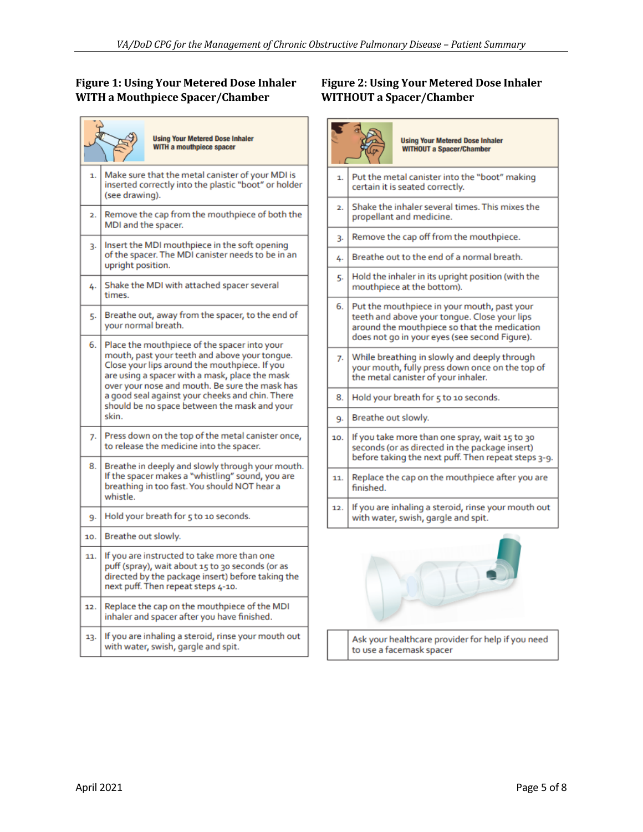# <span id="page-4-0"></span>**WITH a Mouthpiece Spacer/Chamber WITHOUT a Spacer/Chamber**

|                  | <b>Using Your Metered Dose Inhaler</b><br>WITH a mouthpiece spacer                                                                                                                                                                                                                                                                                             |  |  |  |  |
|------------------|----------------------------------------------------------------------------------------------------------------------------------------------------------------------------------------------------------------------------------------------------------------------------------------------------------------------------------------------------------------|--|--|--|--|
| 1.               | Make sure that the metal canister of your MDI is<br>inserted correctly into the plastic "boot" or holder<br>(see drawing).                                                                                                                                                                                                                                     |  |  |  |  |
| $\overline{2}$ . | Remove the cap from the mouthpiece of both the<br>MDI and the spacer.                                                                                                                                                                                                                                                                                          |  |  |  |  |
| 3.               | Insert the MDI mouthpiece in the soft opening<br>of the spacer. The MDI canister needs to be in an<br>upright position.                                                                                                                                                                                                                                        |  |  |  |  |
| 4.               | Shake the MDI with attached spacer several<br>times.                                                                                                                                                                                                                                                                                                           |  |  |  |  |
| 5.               | Breathe out, away from the spacer, to the end of<br>your normal breath.                                                                                                                                                                                                                                                                                        |  |  |  |  |
| 6.               | Place the mouthpiece of the spacer into your<br>mouth, past your teeth and above your tonque.<br>Close your lips around the mouthpiece. If you<br>are using a spacer with a mask, place the mask<br>over your nose and mouth. Be sure the mask has<br>a good seal against your cheeks and chin. There<br>should be no space between the mask and your<br>skin. |  |  |  |  |
| 7.               | Press down on the top of the metal canister once,<br>to release the medicine into the spacer.                                                                                                                                                                                                                                                                  |  |  |  |  |
| 8.               | Breathe in deeply and slowly through your mouth.<br>If the spacer makes a "whistling" sound, you are<br>breathing in too fast. You should NOT hear a<br>whistle.                                                                                                                                                                                               |  |  |  |  |
| 9.               | Hold your breath for 5 to 10 seconds.                                                                                                                                                                                                                                                                                                                          |  |  |  |  |
| 10.              | Breathe out slowly.                                                                                                                                                                                                                                                                                                                                            |  |  |  |  |
| 11.              | If you are instructed to take more than one<br>puff (spray), wait about 15 to 30 seconds (or as<br>directed by the package insert) before taking the<br>next puff. Then repeat steps 4-10.                                                                                                                                                                     |  |  |  |  |
| 12.              | Replace the cap on the mouthpiece of the MDI<br>inhaler and spacer after you have finished.                                                                                                                                                                                                                                                                    |  |  |  |  |
| 13.              | If you are inhaling a steroid, rinse your mouth out<br>with water, swish, gargle and spit.                                                                                                                                                                                                                                                                     |  |  |  |  |

# **Figure 1: Using Your Metered Dose Inhaler Figure 2: Using Your Metered Dose Inhaler**

<span id="page-4-1"></span>

Ask your healthcare provider for help if you need to use a facemask spacer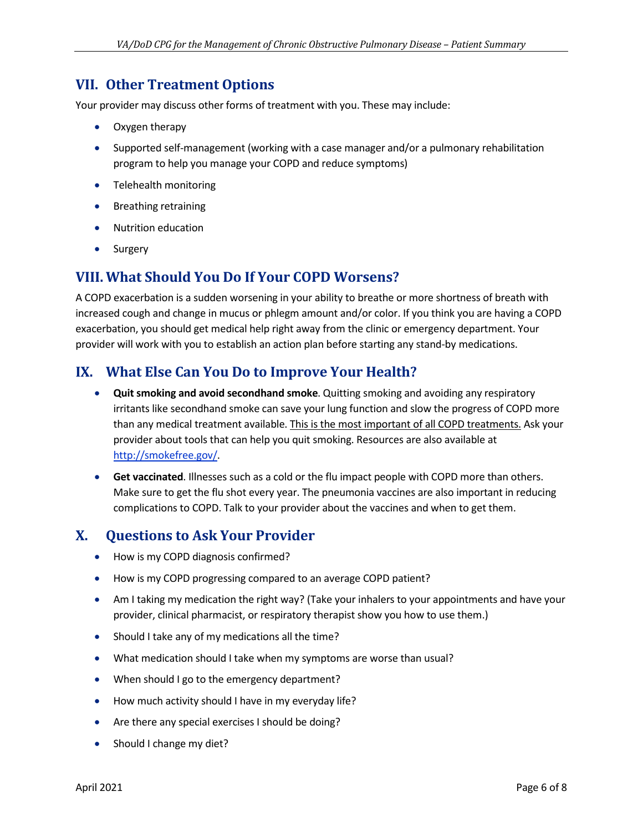## **VII. Other Treatment Options**

Your provider may discuss other forms of treatment with you. These may include:

- · Oxygen therapy
- · Supported self-management (working with a case manager and/or a pulmonary rehabilitation program to help you manage your COPD and reduce symptoms)
- · Telehealth monitoring
- · Breathing retraining
- · Nutrition education
- · Surgery

### **VIII. What Should You Do If Your COPD Worsens?**

A COPD exacerbation is a sudden worsening in your ability to breathe or more shortness of breath with increased cough and change in mucus or phlegm amount and/or color. If you think you are having a COPD exacerbation, you should get medical help right away from the clinic or emergency department. Your provider will work with you to establish an action plan before starting any stand-by medications.

### **IX. What Else Can You Do to Improve Your Health?**

- · **Quit smoking and avoid secondhand smoke**. Quitting smoking and avoiding any respiratory irritants like secondhand smoke can save your lung function and slow the progress of COPD more than any medical treatment available. This is the most important of all COPD treatments. Ask your provider about tools that can help you quit smoking. Resources are also available at [http://smokefree.gov/.](http://smokefree.gov/)
- · **Get vaccinated**. Illnesses such as a cold or the flu impact people with COPD more than others. Make sure to get the flu shot every year. The pneumonia vaccines are also important in reducing complications to COPD. Talk to your provider about the vaccines and when to get them.

## **X. Questions to Ask Your Provider**

- · How is my COPD diagnosis confirmed?
- · How is my COPD progressing compared to an average COPD patient?
- · Am I taking my medication the right way? (Take your inhalers to your appointments and have your provider, clinical pharmacist, or respiratory therapist show you how to use them.)
- · Should I take any of my medications all the time?
- · What medication should I take when my symptoms are worse than usual?
- · When should I go to the emergency department?
- · How much activity should I have in my everyday life?
- Are there any special exercises I should be doing?
- Should I change my diet?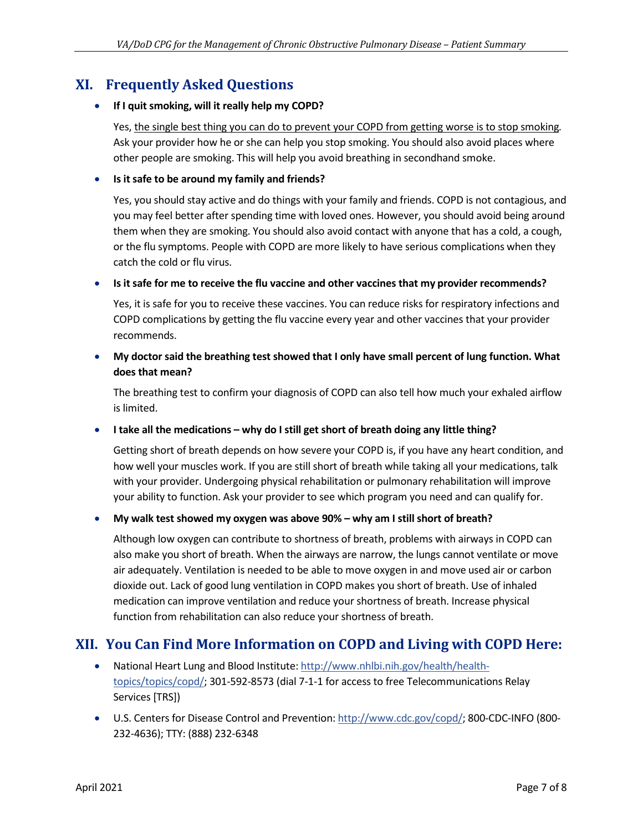## **XI. Frequently Asked Questions**

#### · **If I quit smoking, will it really help my COPD?**

Yes, the single best thing you can do to prevent your COPD from getting worse is to stop smoking. Ask your provider how he or she can help you stop smoking. You should also avoid places where other people are smoking. This will help you avoid breathing in secondhand smoke.

#### · **Is it safe to be around my family and friends?**

Yes, you should stay active and do things with your family and friends. COPD is not contagious, and you may feel better after spending time with loved ones. However, you should avoid being around them when they are smoking. You should also avoid contact with anyone that has a cold, a cough, or the flu symptoms. People with COPD are more likely to have serious complications when they catch the cold or flu virus.

· **Is it safe for me to receive the flu vaccine and other vaccines that my provider recommends?**

Yes, it is safe for you to receive these vaccines. You can reduce risks for respiratory infections and COPD complications by getting the flu vaccine every year and other vaccines that your provider recommends.

· **My doctor said the breathing test showed that I only have small percent of lung function. What does that mean?**

The breathing test to confirm your diagnosis of COPD can also tell how much your exhaled airflow is limited.

### · **I take all the medications – why do I still get short of breath doing any little thing?**

Getting short of breath depends on how severe your COPD is, if you have any heart condition, and how well your muscles work. If you are still short of breath while taking all your medications, talk with your provider. Undergoing physical rehabilitation or pulmonary rehabilitation will improve your ability to function. Ask your provider to see which program you need and can qualify for.

### · **My walk test showed my oxygen was above 90% – why am I still short of breath?**

Although low oxygen can contribute to shortness of breath, problems with airways in COPD can also make you short of breath. When the airways are narrow, the lungs cannot ventilate or move air adequately. Ventilation is needed to be able to move oxygen in and move used air or carbon dioxide out. Lack of good lung ventilation in COPD makes you short of breath. Use of inhaled medication can improve ventilation and reduce your shortness of breath. Increase physical function from rehabilitation can also reduce your shortness of breath.

### **XII. You Can Find More Information on COPD and Living with COPD Here:**

- · National Heart Lung and Blood Institute: [http://www.nhlbi.nih.gov/health/health](http://www.nhlbi.nih.gov/health/health-topics/topics/copd/)[topics/topics/copd/](http://www.nhlbi.nih.gov/health/health-topics/topics/copd/); 301-592-8573 (dial 7-1-1 for access to free Telecommunications Relay Services [TRS])
- · U.S. Centers for Disease Control and Prevention:<http://www.cdc.gov/copd/>; 800-CDC-INFO (800- 232-4636); TTY: (888) 232-6348